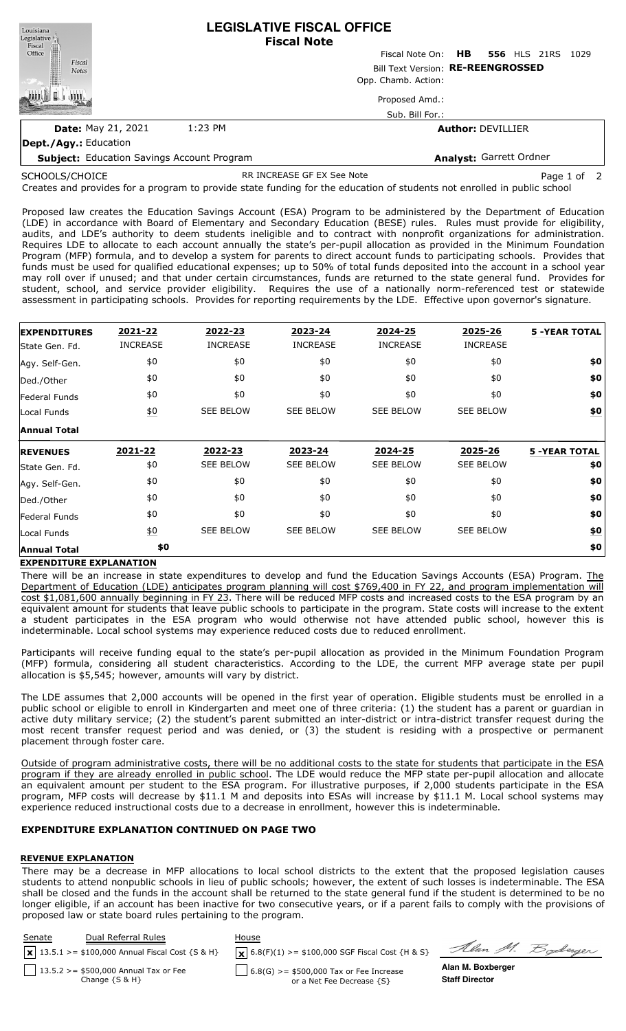| Louisiana<br>Legislative <sup>1</sup>             | <b>LEGISLATIVE FISCAL OFFICE</b><br><b>Fiscal Note</b> |                                 |                          |  |      |  |  |
|---------------------------------------------------|--------------------------------------------------------|---------------------------------|--------------------------|--|------|--|--|
| Fiscal<br>Office                                  |                                                        | Fiscal Note On: HB 556 HLS 21RS |                          |  | 1029 |  |  |
| Fiscal<br><b>Notes</b>                            | Bill Text Version: RE-REENGROSSED                      |                                 |                          |  |      |  |  |
|                                                   |                                                        | Opp. Chamb. Action:             |                          |  |      |  |  |
|                                                   |                                                        | Proposed Amd.:                  |                          |  |      |  |  |
|                                                   |                                                        | Sub. Bill For.:                 |                          |  |      |  |  |
| <b>Date: May 21, 2021</b>                         | 1:23 PM                                                |                                 | <b>Author: DEVILLIER</b> |  |      |  |  |
| Dept./Agy.: Education                             |                                                        |                                 |                          |  |      |  |  |
| <b>Subject:</b> Education Savings Account Program |                                                        |                                 | Analyst: Garrett Ordner  |  |      |  |  |

SCHOOLS/CHOICE

RR INCREASE GF EX See Note **Page 1 of 2** 

Soderger

Creates and provides for a program to provide state funding for the education of students not enrolled in public school

Proposed law creates the Education Savings Account (ESA) Program to be administered by the Department of Education (LDE) in accordance with Board of Elementary and Secondary Education (BESE) rules. Rules must provide for eligibility, audits, and LDE's authority to deem students ineligible and to contract with nonprofit organizations for administration. Requires LDE to allocate to each account annually the state's per-pupil allocation as provided in the Minimum Foundation Program (MFP) formula, and to develop a system for parents to direct account funds to participating schools. Provides that funds must be used for qualified educational expenses; up to 50% of total funds deposited into the account in a school year may roll over if unused; and that under certain circumstances, funds are returned to the state general fund. Provides for student, school, and service provider eligibility. Requires the use of a nationally norm-referenced test or statewide assessment in participating schools. Provides for reporting requirements by the LDE. Effective upon governor's signature.

| <b>EXPENDITURES</b> | 2021-22          | 2022-23          | 2023-24          | 2024-25          | 2025-26          | <b>5 -YEAR TOTAL</b> |
|---------------------|------------------|------------------|------------------|------------------|------------------|----------------------|
| State Gen. Fd.      | <b>INCREASE</b>  | <b>INCREASE</b>  | <b>INCREASE</b>  | <b>INCREASE</b>  | <b>INCREASE</b>  |                      |
| Agy. Self-Gen.      | \$0              | \$0              | \$0              | \$0              | \$0              | \$0                  |
| Ded./Other          | \$0              | \$0              | \$0              | \$0              | \$0              | \$0                  |
| Federal Funds       | \$0              | \$0              | \$0              | \$0              | \$0              | \$0                  |
| Local Funds         | $\underline{50}$ | <b>SEE BELOW</b> | <b>SEE BELOW</b> | <b>SEE BELOW</b> | <b>SEE BELOW</b> | \$0                  |
| <b>Annual Total</b> |                  |                  |                  |                  |                  |                      |
| <b>REVENUES</b>     | 2021-22          | 2022-23          | 2023-24          | 2024-25          | 2025-26          | <b>5 -YEAR TOTAL</b> |
|                     |                  |                  |                  |                  |                  |                      |
| State Gen. Fd.      | \$0              | <b>SEE BELOW</b> | <b>SEE BELOW</b> | <b>SEE BELOW</b> | <b>SEE BELOW</b> | \$0                  |
| Agy. Self-Gen.      | \$0              | \$0              | \$0              | \$0              | \$0              | \$0                  |
| Ded./Other          | \$0              | \$0              | \$0              | \$0              | \$0              | \$0                  |
| Federal Funds       | \$0              | \$0              | \$0              | \$0              | \$0              | \$0                  |
| Local Funds         | $\underline{50}$ | <b>SEE BELOW</b> | <b>SEE BELOW</b> | <b>SEE BELOW</b> | <b>SEE BELOW</b> | \$0                  |

### **EXPENDITURE EXPLANATION**

There will be an increase in state expenditures to develop and fund the Education Savings Accounts (ESA) Program. The Department of Education (LDE) anticipates program planning will cost \$769,400 in FY 22, and program implementation will cost \$1,081,600 annually beginning in FY 23. There will be reduced MFP costs and increased costs to the ESA program by an equivalent amount for students that leave public schools to participate in the program. State costs will increase to the extent a student participates in the ESA program who would otherwise not have attended public school, however this is indeterminable. Local school systems may experience reduced costs due to reduced enrollment.

Participants will receive funding equal to the state's per-pupil allocation as provided in the Minimum Foundation Program (MFP) formula, considering all student characteristics. According to the LDE, the current MFP average state per pupil allocation is \$5,545; however, amounts will vary by district.

The LDE assumes that 2,000 accounts will be opened in the first year of operation. Eligible students must be enrolled in a public school or eligible to enroll in Kindergarten and meet one of three criteria: (1) the student has a parent or guardian in active duty military service; (2) the student's parent submitted an inter-district or intra-district transfer request during the most recent transfer request period and was denied, or (3) the student is residing with a prospective or permanent placement through foster care.

Outside of program administrative costs, there will be no additional costs to the state for students that participate in the ESA program if they are already enrolled in public school. The LDE would reduce the MFP state per-pupil allocation and allocate an equivalent amount per student to the ESA program. For illustrative purposes, if 2,000 students participate in the ESA program, MFP costs will decrease by \$11.1 M and deposits into ESAs will increase by \$11.1 M. Local school systems may experience reduced instructional costs due to a decrease in enrollment, however this is indeterminable.

### **EXPENDITURE EXPLANATION CONTINUED ON PAGE TWO**

### **REVENUE EXPLANATION**

There may be a decrease in MFP allocations to local school districts to the extent that the proposed legislation causes students to attend nonpublic schools in lieu of public schools; however, the extent of such losses is indeterminable. The ESA shall be closed and the funds in the account shall be returned to the state general fund if the student is determined to be no longer eligible, if an account has been inactive for two consecutive years, or if a parent fails to comply with the provisions of proposed law or state board rules pertaining to the program.

| Senate | Dual Referral Rules                                           | House                                                                  |                                            |
|--------|---------------------------------------------------------------|------------------------------------------------------------------------|--------------------------------------------|
|        | $\sqrt{x}$ 13.5.1 >= \$100,000 Annual Fiscal Cost {S & H}     | $\mathbf{X}$ 6.8(F)(1) >= \$100,000 SGF Fiscal Cost {H & S}            | Alan M. Z                                  |
|        | 13.5.2 > = \$500,000 Annual Tax or Fee<br>Change $\{S \& H\}$ | $6.8(G)$ >= \$500,000 Tax or Fee Increase<br>or a Net Fee Decrease {S} | Alan M. Boxberger<br><b>Staff Director</b> |